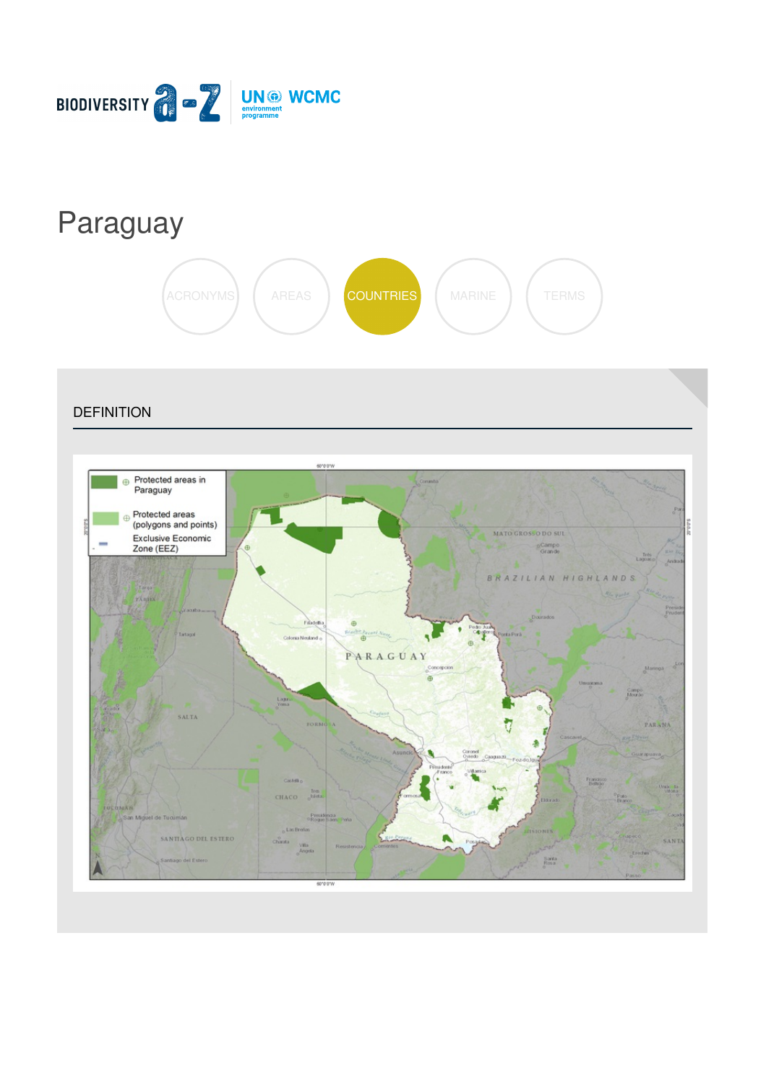

# [Paraguay](https://biodiversitya-z.org/content/paraguay)



**DEFINITION** 

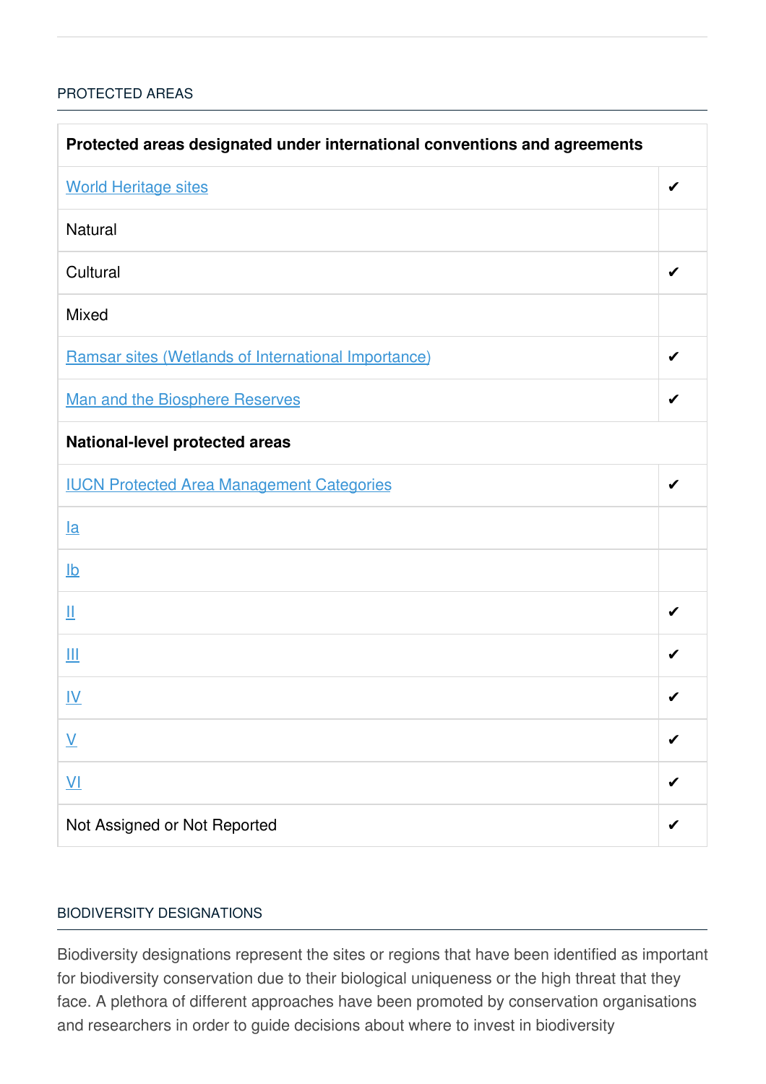### [PROTECTED](javascript:void(0)) AREAS

| Protected areas designated under international conventions and agreements |   |  |
|---------------------------------------------------------------------------|---|--|
| <b>World Heritage sites</b>                                               | ✔ |  |
| <b>Natural</b>                                                            |   |  |
| Cultural                                                                  |   |  |
| <b>Mixed</b>                                                              |   |  |
| Ramsar sites (Wetlands of International Importance)                       | ✔ |  |
| Man and the Biosphere Reserves                                            | ✔ |  |
| <b>National-level protected areas</b>                                     |   |  |
| <b>IUCN Protected Area Management Categories</b>                          |   |  |
| $l$ a                                                                     |   |  |
| $\underline{\mathsf{lb}}$                                                 |   |  |
| Щ                                                                         |   |  |
| Ш                                                                         | ✔ |  |
| <u>IV</u>                                                                 | ✔ |  |
| $\underline{\mathsf{V}}$                                                  |   |  |
| $\underline{\mathsf{V}}$                                                  |   |  |
| Not Assigned or Not Reported                                              |   |  |

#### BIODIVERSITY [DESIGNATIONS](javascript:void(0))

Biodiversity designations represent the sites or regions that have been identified as important for biodiversity conservation due to their biological uniqueness or the high threat that they face. A plethora of different approaches have been promoted by conservation organisations and researchers in order to guide decisions about where to invest in biodiversity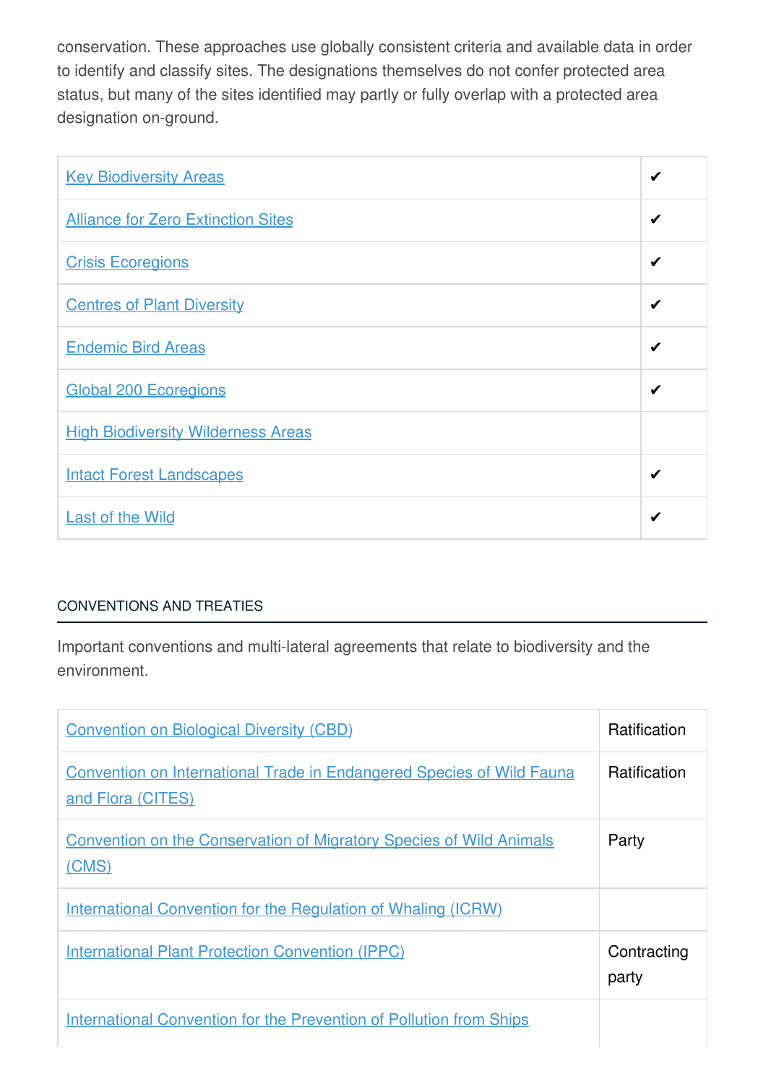conservation. These approaches use globally consistent criteria and available data in order to identify and classify sites. The designations themselves do not confer protected area status, but many of the sites identified may partly or fully overlap with a protected area designation on-ground.

| <b>Key Biodiversity Areas</b>             | ✔ |
|-------------------------------------------|---|
| <b>Alliance for Zero Extinction Sites</b> | ✔ |
| <b>Crisis Ecoregions</b>                  | ✔ |
| <b>Centres of Plant Diversity</b>         | ✔ |
| <b>Endemic Bird Areas</b>                 | ✔ |
| <b>Global 200 Ecoregions</b>              | ✔ |
| <b>High Biodiversity Wilderness Areas</b> |   |
| <b>Intact Forest Landscapes</b>           | ✔ |
| <b>Last of the Wild</b>                   | ✔ |

# [CONVENTIONS](javascript:void(0)) AND TREATIES

Important conventions and multi-lateral agreements that relate to biodiversity and the environment.

| <b>Convention on Biological Diversity (CBD)</b>                                                   | <b>Ratification</b>  |
|---------------------------------------------------------------------------------------------------|----------------------|
| <b>Convention on International Trade in Endangered Species of Wild Fauna</b><br>and Flora (CITES) | Ratification         |
| <b>Convention on the Conservation of Migratory Species of Wild Animals</b><br>(CMS)               | Party                |
| International Convention for the Regulation of Whaling (ICRW)                                     |                      |
| <b>International Plant Protection Convention (IPPC)</b>                                           | Contracting<br>party |
| <b>International Convention for the Prevention of Pollution from Ships</b>                        |                      |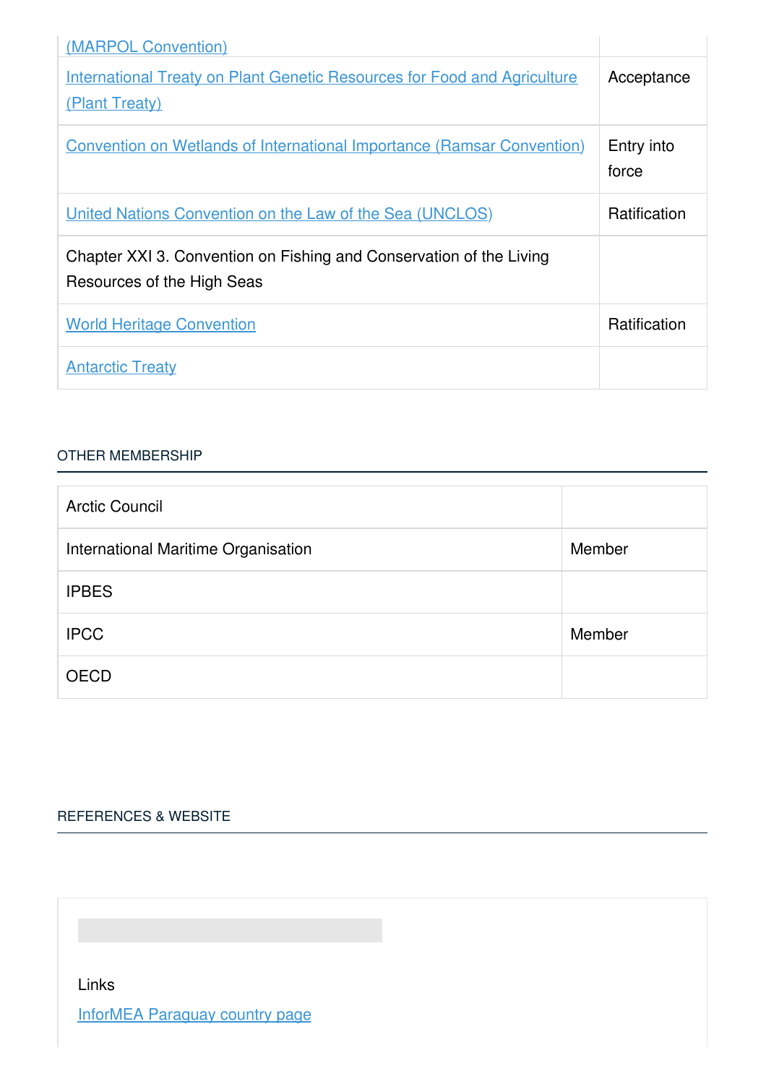| (MARPOL Convention)                                                                               |                     |
|---------------------------------------------------------------------------------------------------|---------------------|
| <b>International Treaty on Plant Genetic Resources for Food and Agriculture</b><br>(Plant Treaty) | Acceptance          |
| <b>Convention on Wetlands of International Importance (Ramsar Convention)</b>                     | Entry into<br>force |
| <u><b>United Nations Convention on the Law of the Sea (UNCLOS)</b></u>                            | <b>Ratification</b> |
| Chapter XXI 3. Convention on Fishing and Conservation of the Living<br>Resources of the High Seas |                     |
| <b>World Heritage Convention</b>                                                                  | Ratification        |
| <b>Antarctic Treaty</b>                                                                           |                     |

#### OTHER [MEMBERSHIP](javascript:void(0))

| <b>Arctic Council</b>               |        |
|-------------------------------------|--------|
| International Maritime Organisation | Member |
| <b>IPBES</b>                        |        |
| <b>IPCC</b>                         | Member |
| <b>OECD</b>                         |        |

## [REFERENCES](javascript:void(0)) & WEBSITE

Links

InforMEA [Paraguay](https://www.informea.org/en/countries/py) country page